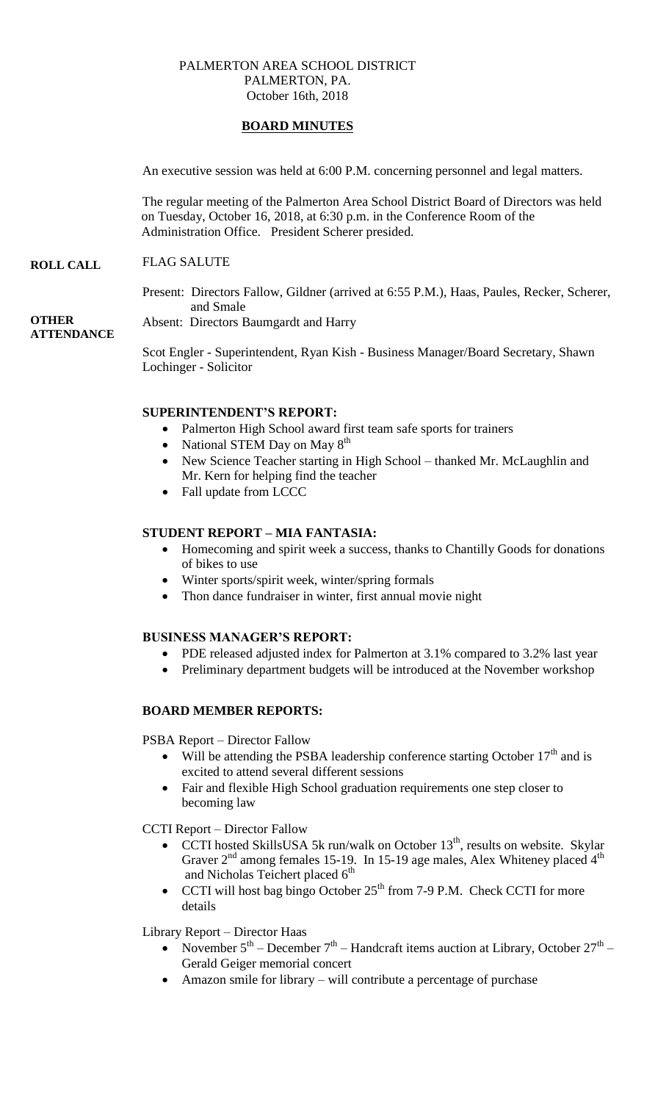## PALMERTON AREA SCHOOL DISTRICT PALMERTON, PA. October 16th, 2018

# **BOARD MINUTES**

An executive session was held at 6:00 P.M. concerning personnel and legal matters.

The regular meeting of the Palmerton Area School District Board of Directors was held on Tuesday, October 16, 2018, at 6:30 p.m. in the Conference Room of the Administration Office. President Scherer presided.

#### **ROLL CALL** FLAG SALUTE

Present: Directors Fallow, Gildner (arrived at 6:55 P.M.), Haas, Paules, Recker, Scherer, and Smale

Absent: Directors Baumgardt and Harry

**OTHER ATTENDANCE**

> Scot Engler - Superintendent, Ryan Kish - Business Manager/Board Secretary, Shawn Lochinger - Solicitor

### **SUPERINTENDENT'S REPORT:**

- Palmerton High School award first team safe sports for trainers
- National STEM Day on May  $8<sup>th</sup>$
- New Science Teacher starting in High School thanked Mr. McLaughlin and Mr. Kern for helping find the teacher
- Fall update from LCCC

# **STUDENT REPORT – MIA FANTASIA:**

- Homecoming and spirit week a success, thanks to Chantilly Goods for donations of bikes to use
- Winter sports/spirit week, winter/spring formals
- Thon dance fundraiser in winter, first annual movie night

## **BUSINESS MANAGER'S REPORT:**

- PDE released adjusted index for Palmerton at 3.1% compared to 3.2% last year
- Preliminary department budgets will be introduced at the November workshop

## **BOARD MEMBER REPORTS:**

PSBA Report – Director Fallow

- Will be attending the PSBA leadership conference starting October  $17<sup>th</sup>$  and is excited to attend several different sessions
- Fair and flexible High School graduation requirements one step closer to becoming law

CCTI Report – Director Fallow

- CCTI hosted SkillsUSA 5k run/walk on October  $13<sup>th</sup>$ , results on website. Skylar Graver  $2<sup>nd</sup>$  among females 15-19. In 15-19 age males, Alex Whiteney placed  $4<sup>th</sup>$ and Nicholas Teichert placed 6<sup>th</sup>
- CCTI will host bag bingo October  $25<sup>th</sup>$  from 7-9 P.M. Check CCTI for more details

#### Library Report – Director Haas

- November  $5^{th}$  December  $7^{th}$  Handcraft items auction at Library, October  $27^{th}$  Gerald Geiger memorial concert
- Amazon smile for library will contribute a percentage of purchase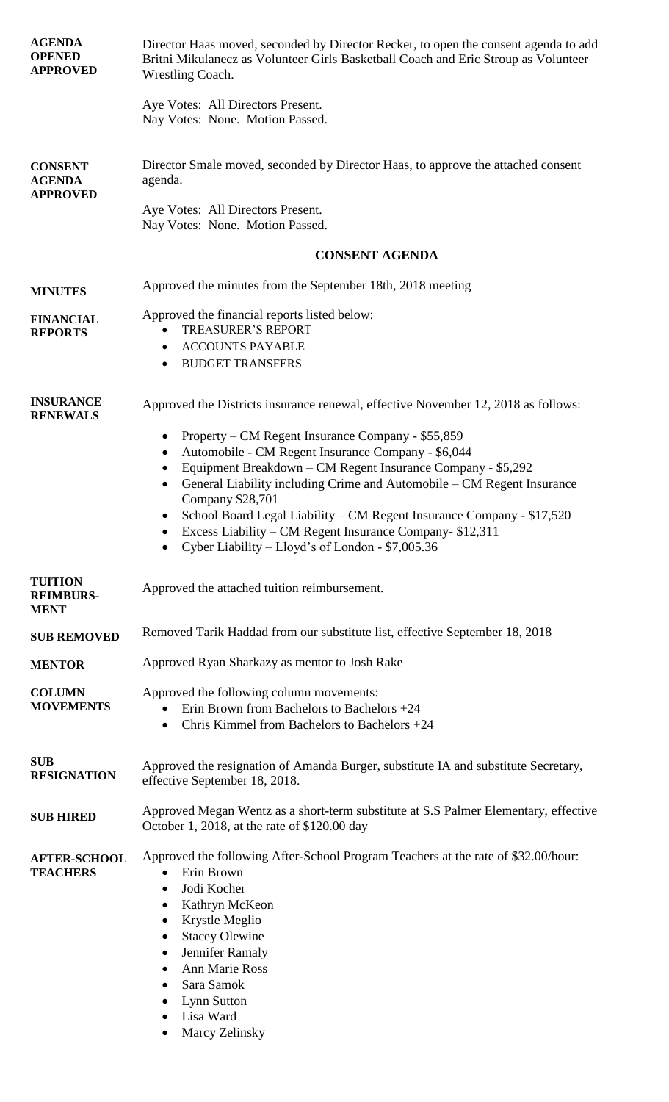| <b>AGENDA</b><br><b>OPENED</b><br><b>APPROVED</b>  | Director Haas moved, seconded by Director Recker, to open the consent agenda to add<br>Britni Mikulanecz as Volunteer Girls Basketball Coach and Eric Stroup as Volunteer<br>Wrestling Coach.                                                                                                                                                                                                                                                                                    |
|----------------------------------------------------|----------------------------------------------------------------------------------------------------------------------------------------------------------------------------------------------------------------------------------------------------------------------------------------------------------------------------------------------------------------------------------------------------------------------------------------------------------------------------------|
|                                                    | Aye Votes: All Directors Present.<br>Nay Votes: None. Motion Passed.                                                                                                                                                                                                                                                                                                                                                                                                             |
| <b>CONSENT</b><br><b>AGENDA</b><br><b>APPROVED</b> | Director Smale moved, seconded by Director Haas, to approve the attached consent<br>agenda.                                                                                                                                                                                                                                                                                                                                                                                      |
|                                                    | Aye Votes: All Directors Present.<br>Nay Votes: None. Motion Passed.                                                                                                                                                                                                                                                                                                                                                                                                             |
|                                                    | <b>CONSENT AGENDA</b>                                                                                                                                                                                                                                                                                                                                                                                                                                                            |
| <b>MINUTES</b>                                     | Approved the minutes from the September 18th, 2018 meeting                                                                                                                                                                                                                                                                                                                                                                                                                       |
| <b>FINANCIAL</b><br><b>REPORTS</b>                 | Approved the financial reports listed below:<br><b>TREASURER'S REPORT</b><br><b>ACCOUNTS PAYABLE</b><br><b>BUDGET TRANSFERS</b><br>$\bullet$                                                                                                                                                                                                                                                                                                                                     |
| <b>INSURANCE</b><br><b>RENEWALS</b>                | Approved the Districts insurance renewal, effective November 12, 2018 as follows:                                                                                                                                                                                                                                                                                                                                                                                                |
|                                                    | Property – CM Regent Insurance Company - \$55,859<br>Automobile - CM Regent Insurance Company - \$6,044<br>٠<br>Equipment Breakdown - CM Regent Insurance Company - \$5,292<br>$\bullet$<br>General Liability including Crime and Automobile – CM Regent Insurance<br>Company \$28,701<br>School Board Legal Liability – CM Regent Insurance Company - \$17,520<br>Excess Liability – CM Regent Insurance Company- \$12,311<br>Cyber Liability – Lloyd's of London - $$7,005.36$ |
| <b>TUITION</b><br><b>REIMBURS-</b><br><b>MENT</b>  | Approved the attached tuition reimbursement.                                                                                                                                                                                                                                                                                                                                                                                                                                     |
| <b>SUB REMOVED</b>                                 | Removed Tarik Haddad from our substitute list, effective September 18, 2018                                                                                                                                                                                                                                                                                                                                                                                                      |
| <b>MENTOR</b>                                      | Approved Ryan Sharkazy as mentor to Josh Rake                                                                                                                                                                                                                                                                                                                                                                                                                                    |
| <b>COLUMN</b><br><b>MOVEMENTS</b>                  | Approved the following column movements:<br>Erin Brown from Bachelors to Bachelors $+24$<br>Chris Kimmel from Bachelors to Bachelors $+24$<br>$\bullet$                                                                                                                                                                                                                                                                                                                          |
| <b>SUB</b><br><b>RESIGNATION</b>                   | Approved the resignation of Amanda Burger, substitute IA and substitute Secretary,<br>effective September 18, 2018.                                                                                                                                                                                                                                                                                                                                                              |
| <b>SUB HIRED</b>                                   | Approved Megan Wentz as a short-term substitute at S.S Palmer Elementary, effective<br>October 1, 2018, at the rate of \$120.00 day                                                                                                                                                                                                                                                                                                                                              |
| <b>AFTER-SCHOOL</b><br><b>TEACHERS</b>             | Approved the following After-School Program Teachers at the rate of \$32.00/hour:<br>Erin Brown<br>Jodi Kocher<br>$\bullet$<br>Kathryn McKeon<br>٠<br>Krystle Meglio<br>$\bullet$<br><b>Stacey Olewine</b><br>Jennifer Ramaly<br>Ann Marie Ross<br>Sara Samok<br><b>Lynn Sutton</b><br>Lisa Ward<br>Marcy Zelinsky                                                                                                                                                               |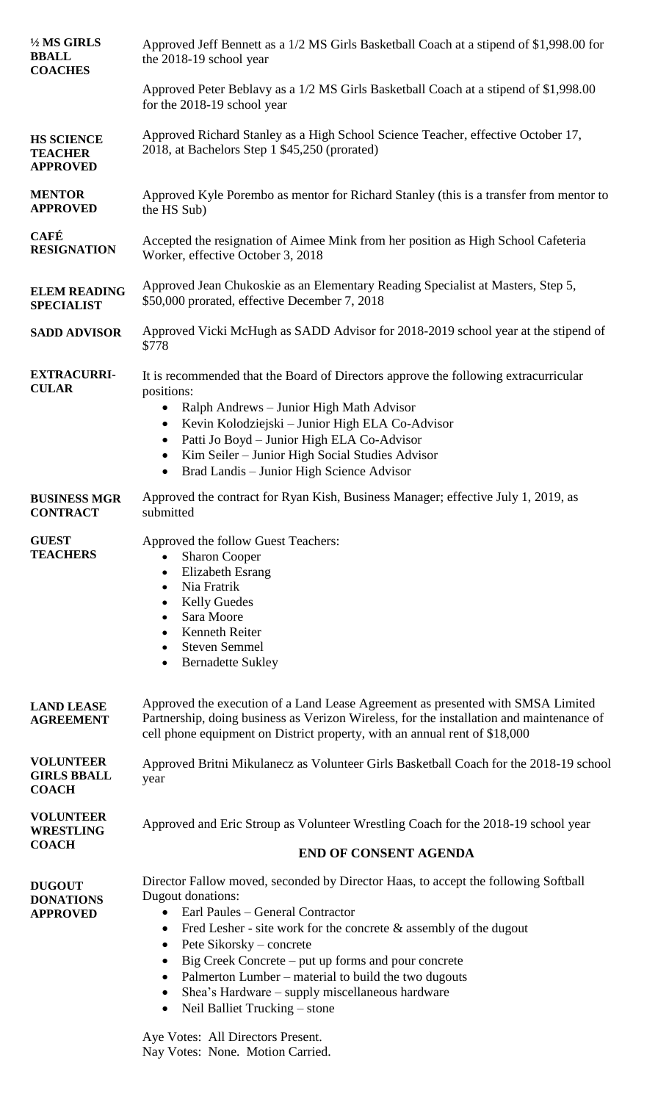| 1/2 MS GIRLS<br><b>BBALL</b><br><b>COACHES</b>         | Approved Jeff Bennett as a 1/2 MS Girls Basketball Coach at a stipend of \$1,998.00 for<br>the 2018-19 school year                                                                                                                                                                                                                                                                                                                                                                                                               |
|--------------------------------------------------------|----------------------------------------------------------------------------------------------------------------------------------------------------------------------------------------------------------------------------------------------------------------------------------------------------------------------------------------------------------------------------------------------------------------------------------------------------------------------------------------------------------------------------------|
|                                                        | Approved Peter Beblavy as a 1/2 MS Girls Basketball Coach at a stipend of \$1,998.00<br>for the 2018-19 school year                                                                                                                                                                                                                                                                                                                                                                                                              |
| <b>HS SCIENCE</b><br><b>TEACHER</b><br><b>APPROVED</b> | Approved Richard Stanley as a High School Science Teacher, effective October 17,<br>2018, at Bachelors Step 1 \$45,250 (prorated)                                                                                                                                                                                                                                                                                                                                                                                                |
| <b>MENTOR</b><br><b>APPROVED</b>                       | Approved Kyle Porembo as mentor for Richard Stanley (this is a transfer from mentor to<br>the HS Sub)                                                                                                                                                                                                                                                                                                                                                                                                                            |
| <b>CAFÉ</b><br><b>RESIGNATION</b>                      | Accepted the resignation of Aimee Mink from her position as High School Cafeteria<br>Worker, effective October 3, 2018                                                                                                                                                                                                                                                                                                                                                                                                           |
| <b>ELEM READING</b><br><b>SPECIALIST</b>               | Approved Jean Chukoskie as an Elementary Reading Specialist at Masters, Step 5,<br>\$50,000 prorated, effective December 7, 2018                                                                                                                                                                                                                                                                                                                                                                                                 |
| <b>SADD ADVISOR</b>                                    | Approved Vicki McHugh as SADD Advisor for 2018-2019 school year at the stipend of<br>\$778                                                                                                                                                                                                                                                                                                                                                                                                                                       |
| <b>EXTRACURRI-</b><br><b>CULAR</b>                     | It is recommended that the Board of Directors approve the following extracurricular<br>positions:<br>Ralph Andrews - Junior High Math Advisor<br>$\bullet$<br>Kevin Kolodziejski - Junior High ELA Co-Advisor<br>$\bullet$<br>Patti Jo Boyd - Junior High ELA Co-Advisor<br>$\bullet$<br>Kim Seiler - Junior High Social Studies Advisor<br>$\bullet$<br>Brad Landis - Junior High Science Advisor<br>$\bullet$                                                                                                                  |
| <b>BUSINESS MGR</b><br><b>CONTRACT</b>                 | Approved the contract for Ryan Kish, Business Manager; effective July 1, 2019, as<br>submitted                                                                                                                                                                                                                                                                                                                                                                                                                                   |
| <b>GUEST</b><br><b>TEACHERS</b>                        | Approved the follow Guest Teachers:<br><b>Sharon Cooper</b><br><b>Elizabeth Esrang</b><br>$\bullet$<br>Nia Fratrik<br>$\bullet$<br><b>Kelly Guedes</b><br>$\bullet$<br>Sara Moore<br>$\bullet$<br>Kenneth Reiter<br>$\bullet$<br><b>Steven Semmel</b><br>$\bullet$<br><b>Bernadette Sukley</b><br>٠                                                                                                                                                                                                                              |
| <b>LAND LEASE</b><br><b>AGREEMENT</b>                  | Approved the execution of a Land Lease Agreement as presented with SMSA Limited<br>Partnership, doing business as Verizon Wireless, for the installation and maintenance of<br>cell phone equipment on District property, with an annual rent of \$18,000                                                                                                                                                                                                                                                                        |
| <b>VOLUNTEER</b><br><b>GIRLS BBALL</b><br><b>COACH</b> | Approved Britni Mikulanecz as Volunteer Girls Basketball Coach for the 2018-19 school<br>year                                                                                                                                                                                                                                                                                                                                                                                                                                    |
| <b>VOLUNTEER</b><br><b>WRESTLING</b><br><b>COACH</b>   | Approved and Eric Stroup as Volunteer Wrestling Coach for the 2018-19 school year                                                                                                                                                                                                                                                                                                                                                                                                                                                |
|                                                        | <b>END OF CONSENT AGENDA</b>                                                                                                                                                                                                                                                                                                                                                                                                                                                                                                     |
| <b>DUGOUT</b><br><b>DONATIONS</b><br><b>APPROVED</b>   | Director Fallow moved, seconded by Director Haas, to accept the following Softball<br>Dugout donations:<br>Earl Paules - General Contractor<br>$\bullet$<br>Fred Lesher - site work for the concrete $\&$ assembly of the dugout<br>$\bullet$<br>Pete Sikorsky – concrete<br>$\bullet$<br>Big Creek Concrete – put up forms and pour concrete<br>$\bullet$<br>Palmerton Lumber - material to build the two dugouts<br>$\bullet$<br>Shea's Hardware – supply miscellaneous hardware<br>$\bullet$<br>Neil Balliet Trucking – stone |
|                                                        | Aye Votes: All Directors Present.                                                                                                                                                                                                                                                                                                                                                                                                                                                                                                |

Nay Votes: None. Motion Carried.